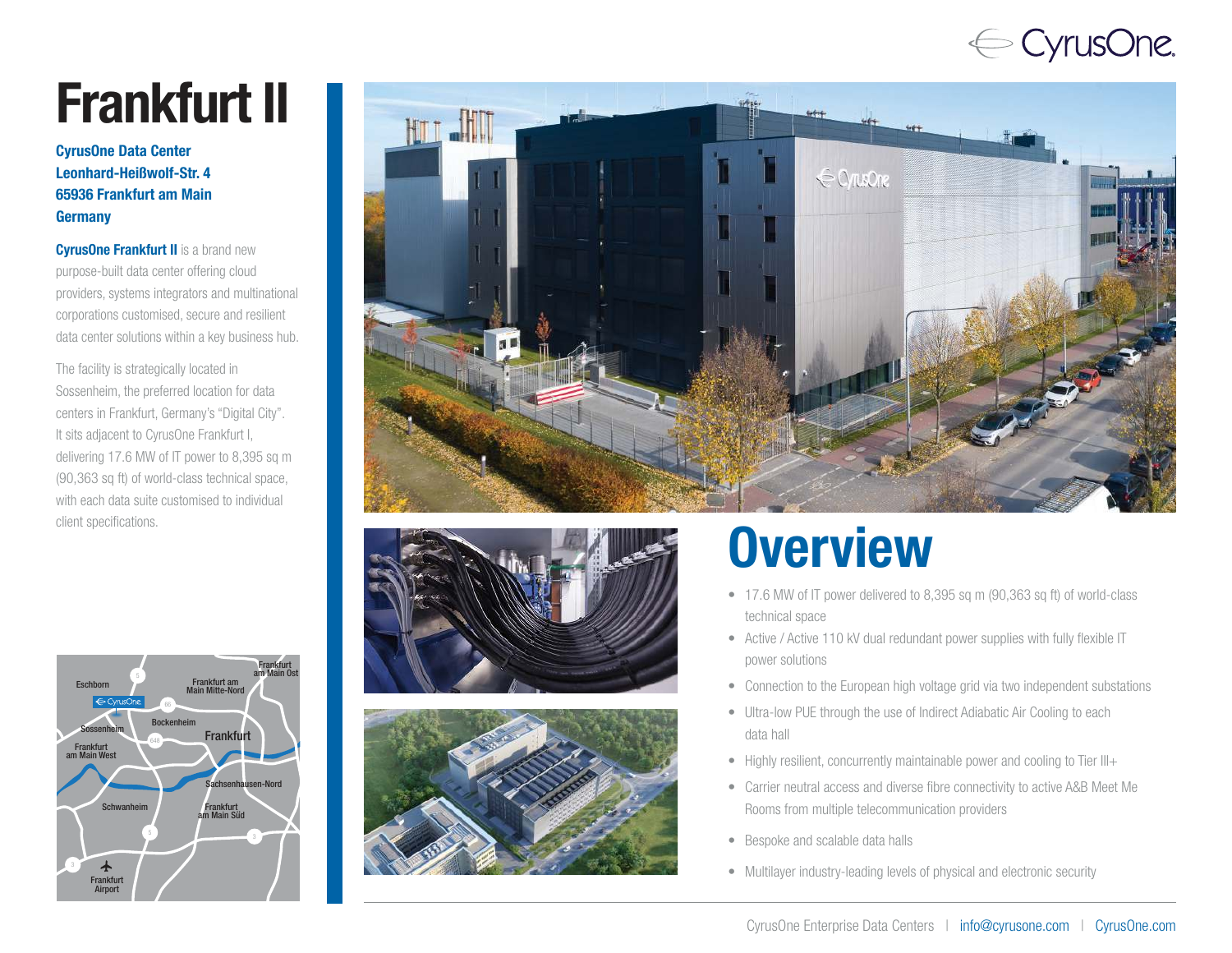## $\Leftarrow$  CyrusOne.

# Frankfurt I I

### CyrusOne Data Center Leonhard-Heißwolf-Str. 4 65936 Frankfurt am Main **Germany**

**CyrusOne Frankfurt II** is a brand new purpose-built data center offering cloud providers, systems integrators and multinational corporations customised, secure and resilient data center solutions within a key business hub.

The facility is strategically located in Sossenheim, the preferred location for data centers in Frankfurt, Germany's "Digital City". It sits adjacent to CyrusOne Frankfurt I, delivering 17.6 MW of IT power to 8,395 sq m (90,363 sq ft) of world-class technical space, with each data suite customised to individual









- 17.6 MW of IT power delivered to 8,395 sq m (90,363 sq ft) of world-class technical space
- Active / Active 110 kV dual redundant power supplies with fully flexible IT power solutions
- Connection to the European high voltage grid via two independent substations
- Ultra-low PUE through the use of Indirect Adiabatic Air Cooling to each data hall
- Highly resilient, concurrently maintainable power and cooling to Tier III+
- Carrier neutral access and diverse fibre connectivity to active A&B Meet Me Rooms from multiple telecommunication providers
- Bespoke and scalable data halls
- Multilayer industry-leading levels of physical and electronic security